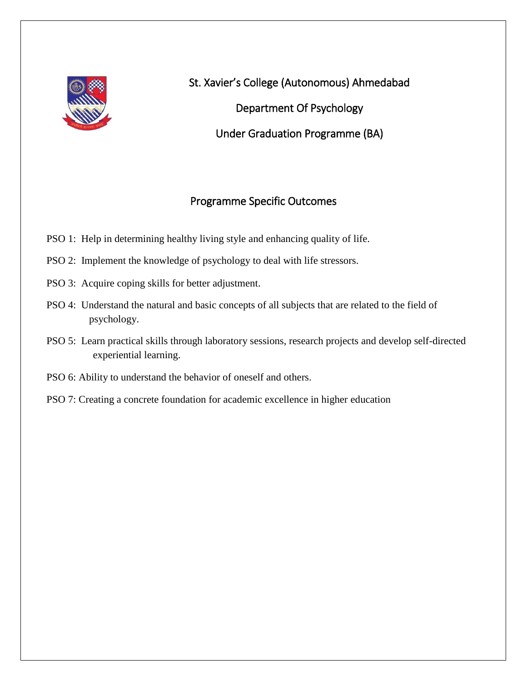

St. Xavier's College (Autonomous) Ahmedabad Department Of Psychology Under Graduation Programme (BA)

# Programme Specific Outcomes

- PSO 1: Help in determining healthy living style and enhancing quality of life.
- PSO 2: Implement the knowledge of psychology to deal with life stressors.
- PSO 3: Acquire coping skills for better adjustment.
- PSO 4: Understand the natural and basic concepts of all subjects that are related to the field of psychology.
- PSO 5: Learn practical skills through laboratory sessions, research projects and develop self-directed experiential learning.
- PSO 6: Ability to understand the behavior of oneself and others.
- PSO 7: Creating a concrete foundation for academic excellence in higher education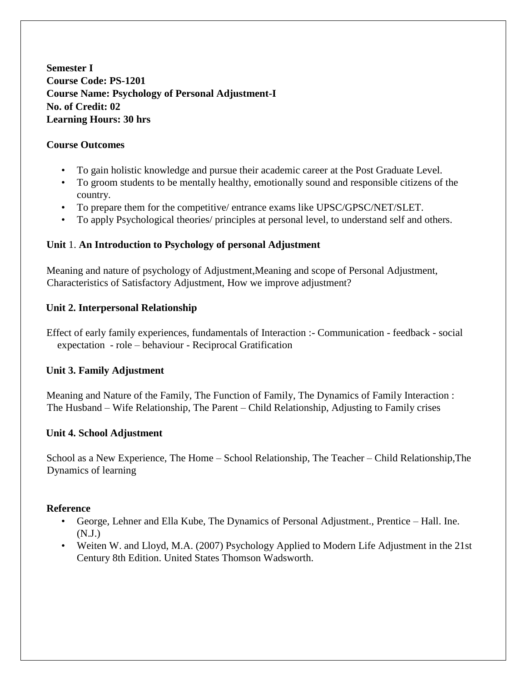**Semester I Course Code: PS-1201 Course Name: Psychology of Personal Adjustment-I No. of Credit: 02 Learning Hours: 30 hrs** 

### **Course Outcomes**

- To gain holistic knowledge and pursue their academic career at the Post Graduate Level.
- To groom students to be mentally healthy, emotionally sound and responsible citizens of the country.
- To prepare them for the competitive/ entrance exams like UPSC/GPSC/NET/SLET.
- To apply Psychological theories/ principles at personal level, to understand self and others.

### **Unit** 1. **An Introduction to Psychology of personal Adjustment**

Meaning and nature of psychology of Adjustment,Meaning and scope of Personal Adjustment, Characteristics of Satisfactory Adjustment, How we improve adjustment?

### **Unit 2. Interpersonal Relationship**

Effect of early family experiences, fundamentals of Interaction :- Communication - feedback - social expectation - role – behaviour - Reciprocal Gratification

#### **Unit 3. Family Adjustment**

Meaning and Nature of the Family, The Function of Family, The Dynamics of Family Interaction : The Husband – Wife Relationship, The Parent – Child Relationship, Adjusting to Family crises

#### **Unit 4. School Adjustment**

School as a New Experience, The Home – School Relationship, The Teacher – Child Relationship,The Dynamics of learning

- George, Lehner and Ella Kube, The Dynamics of Personal Adjustment., Prentice Hall. Ine. (N.J.)
- Weiten W. and Lloyd, M.A. (2007) Psychology Applied to Modern Life Adjustment in the 21st Century 8th Edition. United States Thomson Wadsworth.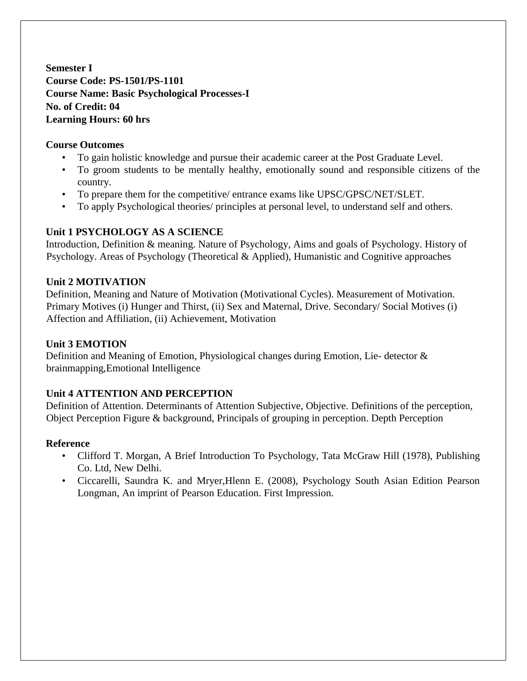**Semester I Course Code: PS-1501/PS-1101 Course Name: Basic Psychological Processes-I No. of Credit: 04 Learning Hours: 60 hrs** 

### **Course Outcomes**

- To gain holistic knowledge and pursue their academic career at the Post Graduate Level.
- To groom students to be mentally healthy, emotionally sound and responsible citizens of the country.
- To prepare them for the competitive/ entrance exams like UPSC/GPSC/NET/SLET.
- To apply Psychological theories/ principles at personal level, to understand self and others.

### **Unit 1 PSYCHOLOGY AS A SCIENCE**

Introduction, Definition & meaning. Nature of Psychology, Aims and goals of Psychology. History of Psychology. Areas of Psychology (Theoretical & Applied), Humanistic and Cognitive approaches

#### **Unit 2 MOTIVATION**

Definition, Meaning and Nature of Motivation (Motivational Cycles). Measurement of Motivation. Primary Motives (i) Hunger and Thirst, (ii) Sex and Maternal, Drive. Secondary/ Social Motives (i) Affection and Affiliation, (ii) Achievement, Motivation

### **Unit 3 EMOTION**

Definition and Meaning of Emotion, Physiological changes during Emotion, Lie- detector & brainmapping,Emotional Intelligence

## **Unit 4 ATTENTION AND PERCEPTION**

Definition of Attention. Determinants of Attention Subjective, Objective. Definitions of the perception, Object Perception Figure & background, Principals of grouping in perception. Depth Perception

- Clifford T. Morgan, A Brief Introduction To Psychology, Tata McGraw Hill (1978), Publishing Co. Ltd, New Delhi.
- Ciccarelli, Saundra K. and Mryer,Hlenn E. (2008), Psychology South Asian Edition Pearson Longman, An imprint of Pearson Education. First Impression.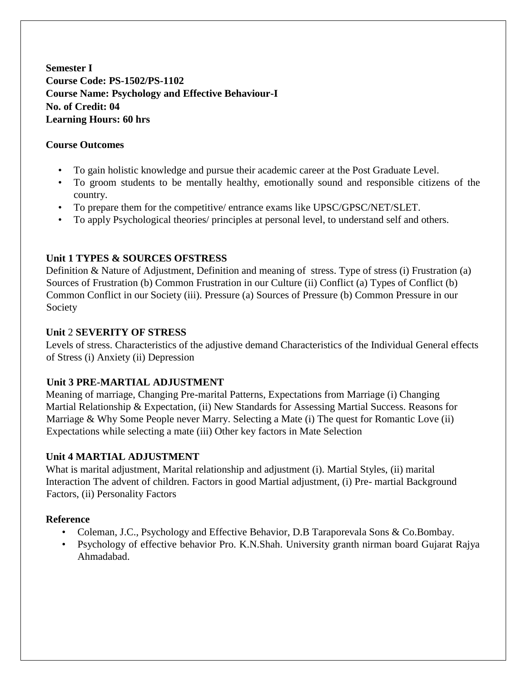**Semester I Course Code: PS-1502/PS-1102 Course Name: Psychology and Effective Behaviour-I No. of Credit: 04 Learning Hours: 60 hrs** 

### **Course Outcomes**

- To gain holistic knowledge and pursue their academic career at the Post Graduate Level.
- To groom students to be mentally healthy, emotionally sound and responsible citizens of the country.
- To prepare them for the competitive/ entrance exams like UPSC/GPSC/NET/SLET.
- To apply Psychological theories/ principles at personal level, to understand self and others.

## **Unit 1 TYPES & SOURCES OFSTRESS**

Definition & Nature of Adjustment, Definition and meaning of stress. Type of stress (i) Frustration (a) Sources of Frustration (b) Common Frustration in our Culture (ii) Conflict (a) Types of Conflict (b) Common Conflict in our Society (iii). Pressure (a) Sources of Pressure (b) Common Pressure in our Society

### **Unit** 2 **SEVERITY OF STRESS**

Levels of stress. Characteristics of the adjustive demand Characteristics of the Individual General effects of Stress (i) Anxiety (ii) Depression

## **Unit 3 PRE-MARTIAL ADJUSTMENT**

Meaning of marriage, Changing Pre-marital Patterns, Expectations from Marriage (i) Changing Martial Relationship & Expectation, (ii) New Standards for Assessing Martial Success. Reasons for Marriage & Why Some People never Marry. Selecting a Mate (i) The quest for Romantic Love (ii) Expectations while selecting a mate (iii) Other key factors in Mate Selection

## **Unit 4 MARTIAL ADJUSTMENT**

What is marital adjustment, Marital relationship and adjustment (i). Martial Styles, (ii) marital Interaction The advent of children. Factors in good Martial adjustment, (i) Pre- martial Background Factors, (ii) Personality Factors

- Coleman, J.C., Psychology and Effective Behavior, D.B Taraporevala Sons & Co.Bombay.
- Psychology of effective behavior Pro. K.N.Shah. University granth nirman board Gujarat Rajya Ahmadabad.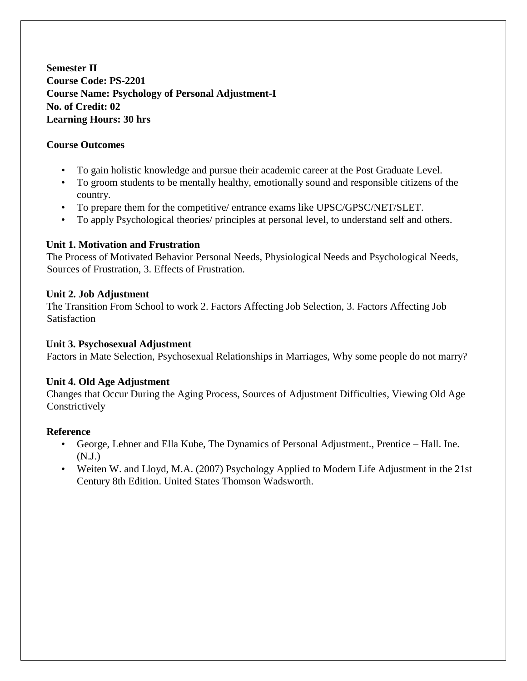**Semester II Course Code: PS-2201 Course Name: Psychology of Personal Adjustment-I No. of Credit: 02 Learning Hours: 30 hrs** 

## **Course Outcomes**

- To gain holistic knowledge and pursue their academic career at the Post Graduate Level.
- To groom students to be mentally healthy, emotionally sound and responsible citizens of the country.
- To prepare them for the competitive/ entrance exams like UPSC/GPSC/NET/SLET.
- To apply Psychological theories/ principles at personal level, to understand self and others.

## **Unit 1. Motivation and Frustration**

The Process of Motivated Behavior Personal Needs, Physiological Needs and Psychological Needs, Sources of Frustration, 3. Effects of Frustration.

## **Unit 2. Job Adjustment**

The Transition From School to work 2. Factors Affecting Job Selection, 3. Factors Affecting Job **Satisfaction** 

## **Unit 3. Psychosexual Adjustment**

Factors in Mate Selection, Psychosexual Relationships in Marriages, Why some people do not marry?

# **Unit 4. Old Age Adjustment**

Changes that Occur During the Aging Process, Sources of Adjustment Difficulties, Viewing Old Age **Constrictively** 

- George, Lehner and Ella Kube, The Dynamics of Personal Adjustment., Prentice Hall. Ine. (N.J.)
- Weiten W. and Lloyd, M.A. (2007) Psychology Applied to Modern Life Adjustment in the 21st Century 8th Edition. United States Thomson Wadsworth.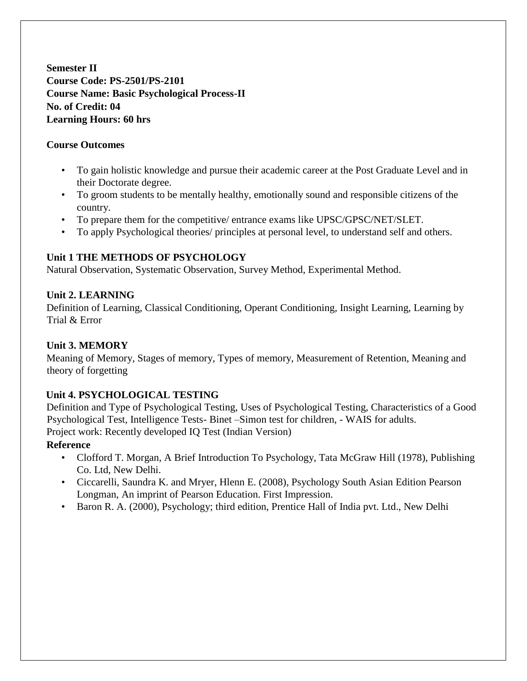**Semester II Course Code: PS-2501/PS-2101 Course Name: Basic Psychological Process-II No. of Credit: 04 Learning Hours: 60 hrs** 

### **Course Outcomes**

- To gain holistic knowledge and pursue their academic career at the Post Graduate Level and in their Doctorate degree.
- To groom students to be mentally healthy, emotionally sound and responsible citizens of the country.
- To prepare them for the competitive/ entrance exams like UPSC/GPSC/NET/SLET.
- To apply Psychological theories/ principles at personal level, to understand self and others.

## **Unit 1 THE METHODS OF PSYCHOLOGY**

Natural Observation, Systematic Observation, Survey Method, Experimental Method.

## **Unit 2. LEARNING**

Definition of Learning, Classical Conditioning, Operant Conditioning, Insight Learning, Learning by Trial & Error

## **Unit 3. MEMORY**

Meaning of Memory, Stages of memory, Types of memory, Measurement of Retention, Meaning and theory of forgetting

## **Unit 4. PSYCHOLOGICAL TESTING**

Definition and Type of Psychological Testing, Uses of Psychological Testing, Characteristics of a Good Psychological Test, Intelligence Tests- Binet –Simon test for children, - WAIS for adults. Project work: Recently developed IQ Test (Indian Version)

- Clofford T. Morgan, A Brief Introduction To Psychology, Tata McGraw Hill (1978), Publishing Co. Ltd, New Delhi.
- Ciccarelli, Saundra K. and Mryer, Hlenn E. (2008), Psychology South Asian Edition Pearson Longman, An imprint of Pearson Education. First Impression.
- Baron R. A. (2000), Psychology; third edition, Prentice Hall of India pvt. Ltd., New Delhi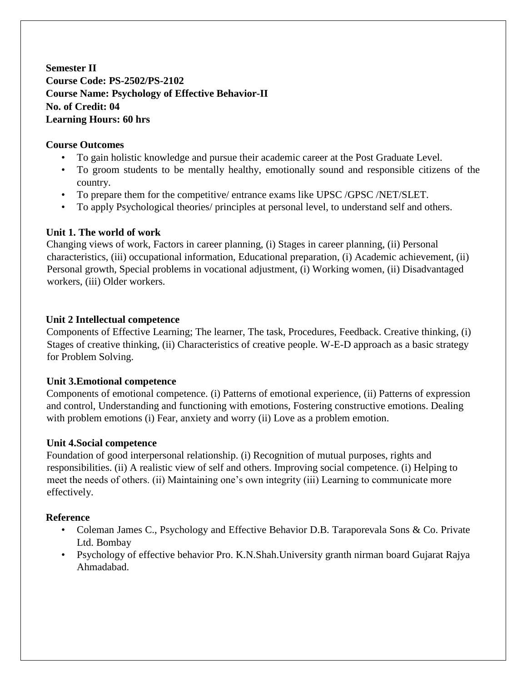**Semester II Course Code: PS-2502/PS-2102 Course Name: Psychology of Effective Behavior-II No. of Credit: 04 Learning Hours: 60 hrs** 

### **Course Outcomes**

- To gain holistic knowledge and pursue their academic career at the Post Graduate Level.
- To groom students to be mentally healthy, emotionally sound and responsible citizens of the country.
- To prepare them for the competitive/ entrance exams like UPSC /GPSC /NET/SLET.
- To apply Psychological theories/ principles at personal level, to understand self and others.

### **Unit 1. The world of work**

Changing views of work, Factors in career planning, (i) Stages in career planning, (ii) Personal characteristics, (iii) occupational information, Educational preparation, (i) Academic achievement, (ii) Personal growth, Special problems in vocational adjustment, (i) Working women, (ii) Disadvantaged workers, (iii) Older workers.

### **Unit 2 Intellectual competence**

Components of Effective Learning; The learner, The task, Procedures, Feedback. Creative thinking, (i) Stages of creative thinking, (ii) Characteristics of creative people. W-E-D approach as a basic strategy for Problem Solving.

#### **Unit 3.Emotional competence**

Components of emotional competence. (i) Patterns of emotional experience, (ii) Patterns of expression and control, Understanding and functioning with emotions, Fostering constructive emotions. Dealing with problem emotions (i) Fear, anxiety and worry (ii) Love as a problem emotion.

#### **Unit 4.Social competence**

Foundation of good interpersonal relationship. (i) Recognition of mutual purposes, rights and responsibilities. (ii) A realistic view of self and others. Improving social competence. (i) Helping to meet the needs of others. (ii) Maintaining one's own integrity (iii) Learning to communicate more effectively.

- Coleman James C., Psychology and Effective Behavior D.B. Taraporevala Sons & Co. Private Ltd. Bombay
- Psychology of effective behavior Pro. K.N.Shah.University granth nirman board Gujarat Rajya Ahmadabad.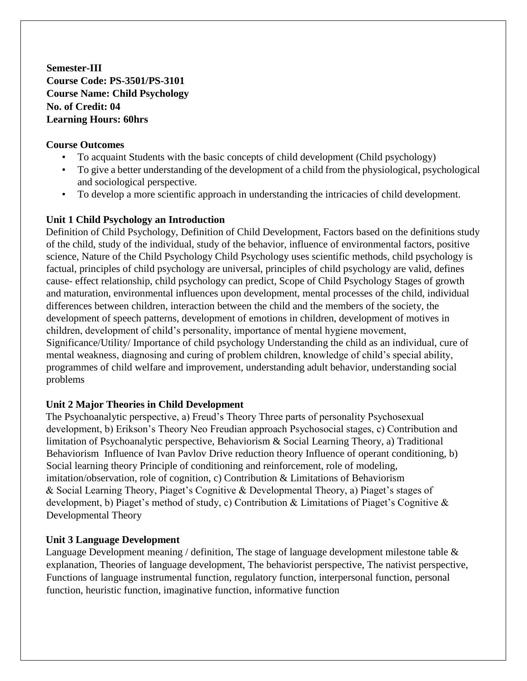**Semester-III Course Code: PS-3501/PS-3101 Course Name: Child Psychology No. of Credit: 04 Learning Hours: 60hrs** 

### **Course Outcomes**

- To acquaint Students with the basic concepts of child development (Child psychology)
- To give a better understanding of the development of a child from the physiological, psychological and sociological perspective.
- To develop a more scientific approach in understanding the intricacies of child development.

## **Unit 1 Child Psychology an Introduction**

Definition of Child Psychology, Definition of Child Development, Factors based on the definitions study of the child, study of the individual, study of the behavior, influence of environmental factors, positive science, Nature of the Child Psychology Child Psychology uses scientific methods, child psychology is factual, principles of child psychology are universal, principles of child psychology are valid, defines cause- effect relationship, child psychology can predict, Scope of Child Psychology Stages of growth and maturation, environmental influences upon development, mental processes of the child, individual differences between children, interaction between the child and the members of the society, the development of speech patterns, development of emotions in children, development of motives in children, development of child's personality, importance of mental hygiene movement, Significance/Utility/ Importance of child psychology Understanding the child as an individual, cure of mental weakness, diagnosing and curing of problem children, knowledge of child's special ability, programmes of child welfare and improvement, understanding adult behavior, understanding social problems

## **Unit 2 Major Theories in Child Development**

The Psychoanalytic perspective, a) Freud's Theory Three parts of personality Psychosexual development, b) Erikson's Theory Neo Freudian approach Psychosocial stages, c) Contribution and limitation of Psychoanalytic perspective, Behaviorism & Social Learning Theory, a) Traditional Behaviorism Influence of Ivan Pavlov Drive reduction theory Influence of operant conditioning, b) Social learning theory Principle of conditioning and reinforcement, role of modeling, imitation/observation, role of cognition, c) Contribution & Limitations of Behaviorism & Social Learning Theory, Piaget's Cognitive & Developmental Theory, a) Piaget's stages of development, b) Piaget's method of study, c) Contribution & Limitations of Piaget's Cognitive & Developmental Theory

#### **Unit 3 Language Development**

Language Development meaning / definition, The stage of language development milestone table  $\&$ explanation, Theories of language development, The behaviorist perspective, The nativist perspective, Functions of language instrumental function, regulatory function, interpersonal function, personal function, heuristic function, imaginative function, informative function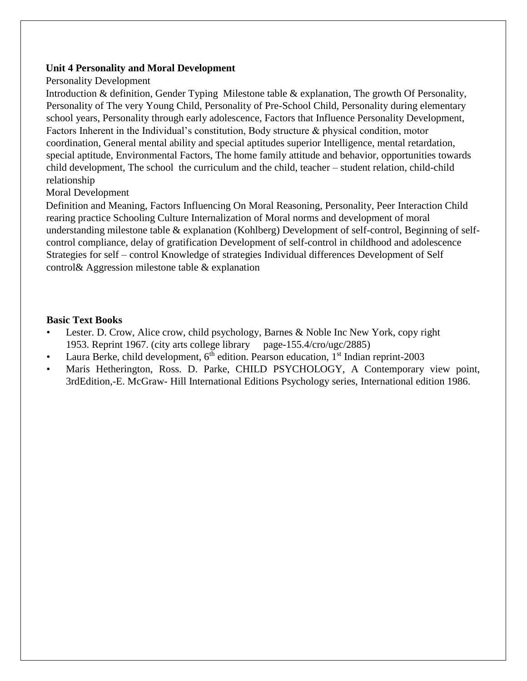#### **Unit 4 Personality and Moral Development**

#### Personality Development

Introduction & definition, Gender Typing Milestone table & explanation, The growth Of Personality, Personality of The very Young Child, Personality of Pre-School Child, Personality during elementary school years, Personality through early adolescence, Factors that Influence Personality Development, Factors Inherent in the Individual's constitution, Body structure & physical condition, motor coordination, General mental ability and special aptitudes superior Intelligence, mental retardation, special aptitude, Environmental Factors, The home family attitude and behavior, opportunities towards child development, The school the curriculum and the child, teacher – student relation, child-child relationship

#### Moral Development

Definition and Meaning, Factors Influencing On Moral Reasoning, Personality, Peer Interaction Child rearing practice Schooling Culture Internalization of Moral norms and development of moral understanding milestone table & explanation (Kohlberg) Development of self-control, Beginning of selfcontrol compliance, delay of gratification Development of self-control in childhood and adolescence Strategies for self – control Knowledge of strategies Individual differences Development of Self control& Aggression milestone table & explanation

#### **Basic Text Books**

- Lester. D. Crow, Alice crow, child psychology, Barnes & Noble Inc New York, copy right 1953. Reprint 1967. (city arts college library page-155.4/cro/ugc/2885)
- Laura Berke, child development,  $6<sup>th</sup>$  edition. Pearson education,  $1<sup>st</sup>$  Indian reprint-2003
- Maris Hetherington, Ross. D. Parke, CHILD PSYCHOLOGY, A Contemporary view point, 3rdEdition,-E. McGraw- Hill International Editions Psychology series, International edition 1986.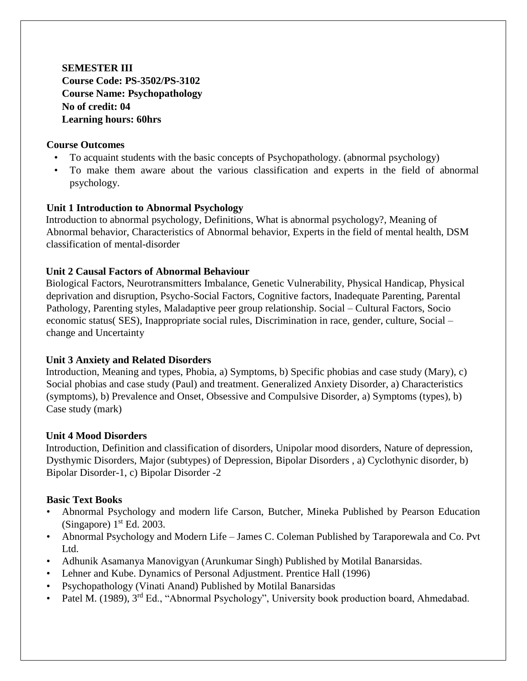**SEMESTER III Course Code: PS-3502/PS-3102 Course Name: Psychopathology No of credit: 04 Learning hours: 60hrs** 

### **Course Outcomes**

- To acquaint students with the basic concepts of Psychopathology. (abnormal psychology)
- To make them aware about the various classification and experts in the field of abnormal psychology.

### **Unit 1 Introduction to Abnormal Psychology**

Introduction to abnormal psychology, Definitions, What is abnormal psychology?, Meaning of Abnormal behavior, Characteristics of Abnormal behavior, Experts in the field of mental health, DSM classification of mental-disorder

### **Unit 2 Causal Factors of Abnormal Behaviour**

Biological Factors, Neurotransmitters Imbalance, Genetic Vulnerability, Physical Handicap, Physical deprivation and disruption, Psycho-Social Factors, Cognitive factors, Inadequate Parenting, Parental Pathology, Parenting styles, Maladaptive peer group relationship. Social – Cultural Factors, Socio economic status( SES), Inappropriate social rules, Discrimination in race, gender, culture, Social – change and Uncertainty

## **Unit 3 Anxiety and Related Disorders**

Introduction, Meaning and types, Phobia, a) Symptoms, b) Specific phobias and case study (Mary), c) Social phobias and case study (Paul) and treatment. Generalized Anxiety Disorder, a) Characteristics (symptoms), b) Prevalence and Onset, Obsessive and Compulsive Disorder, a) Symptoms (types), b) Case study (mark)

#### **Unit 4 Mood Disorders**

Introduction, Definition and classification of disorders, Unipolar mood disorders, Nature of depression, Dysthymic Disorders, Major (subtypes) of Depression, Bipolar Disorders , a) Cyclothynic disorder, b) Bipolar Disorder-1, c) Bipolar Disorder -2

## **Basic Text Books**

- Abnormal Psychology and modern life Carson, Butcher, Mineka Published by Pearson Education (Singapore)  $1<sup>st</sup> Ed. 2003$ .
- Abnormal Psychology and Modern Life James C. Coleman Published by Taraporewala and Co. Pvt Ltd.
- Adhunik Asamanya Manovigyan (Arunkumar Singh) Published by Motilal Banarsidas.
- Lehner and Kube. Dynamics of Personal Adjustment. Prentice Hall (1996)
- Psychopathology (Vinati Anand) Published by Motilal Banarsidas
- Patel M. (1989), 3<sup>rd</sup> Ed., "Abnormal Psychology", University book production board, Ahmedabad.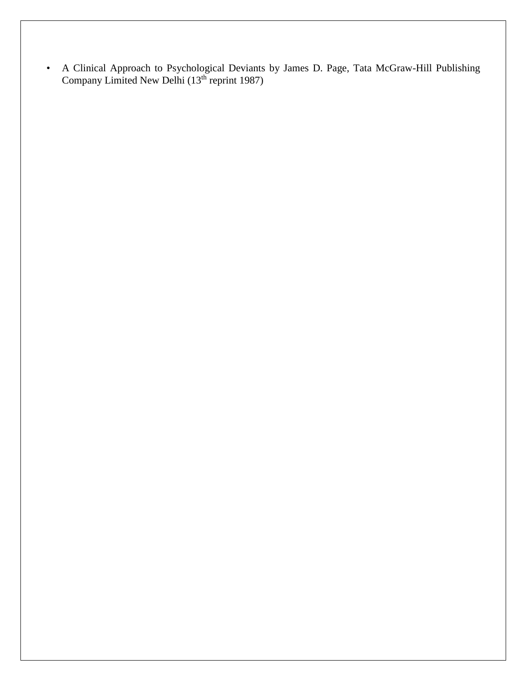• A Clinical Approach to Psychological Deviants by James D. Page, Tata McGraw-Hill Publishing Company Limited New Delhi  $(13<sup>th</sup>$  reprint 1987)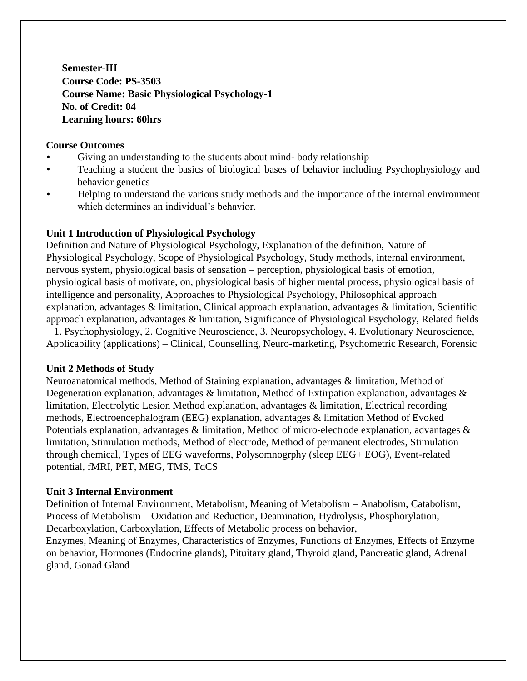**Semester-III Course Code: PS-3503 Course Name: Basic Physiological Psychology-1 No. of Credit: 04 Learning hours: 60hrs** 

### **Course Outcomes**

- Giving an understanding to the students about mind- body relationship
- Teaching a student the basics of biological bases of behavior including Psychophysiology and behavior genetics
- Helping to understand the various study methods and the importance of the internal environment which determines an individual's behavior.

### **Unit 1 Introduction of Physiological Psychology**

Definition and Nature of Physiological Psychology, Explanation of the definition, Nature of Physiological Psychology, Scope of Physiological Psychology, Study methods, internal environment, nervous system, physiological basis of sensation – perception, physiological basis of emotion, physiological basis of motivate, on, physiological basis of higher mental process, physiological basis of intelligence and personality, Approaches to Physiological Psychology, Philosophical approach explanation, advantages & limitation, Clinical approach explanation, advantages & limitation, Scientific approach explanation, advantages & limitation, Significance of Physiological Psychology, Related fields – 1. Psychophysiology, 2. Cognitive Neuroscience, 3. Neuropsychology, 4. Evolutionary Neuroscience, Applicability (applications) – Clinical, Counselling, Neuro-marketing, Psychometric Research, Forensic

#### **Unit 2 Methods of Study**

Neuroanatomical methods, Method of Staining explanation, advantages & limitation, Method of Degeneration explanation, advantages & limitation, Method of Extirpation explanation, advantages & limitation, Electrolytic Lesion Method explanation, advantages & limitation, Electrical recording methods, Electroencephalogram (EEG) explanation, advantages & limitation Method of Evoked Potentials explanation, advantages & limitation, Method of micro-electrode explanation, advantages & limitation, Stimulation methods, Method of electrode, Method of permanent electrodes, Stimulation through chemical, Types of EEG waveforms, Polysomnogrphy (sleep EEG+ EOG), Event-related potential, fMRI, PET, MEG, TMS, TdCS

## **Unit 3 Internal Environment**

Definition of Internal Environment, Metabolism, Meaning of Metabolism – Anabolism, Catabolism, Process of Metabolism – Oxidation and Reduction, Deamination, Hydrolysis, Phosphorylation, Decarboxylation, Carboxylation, Effects of Metabolic process on behavior,

Enzymes, Meaning of Enzymes, Characteristics of Enzymes, Functions of Enzymes, Effects of Enzyme on behavior, Hormones (Endocrine glands), Pituitary gland, Thyroid gland, Pancreatic gland, Adrenal gland, Gonad Gland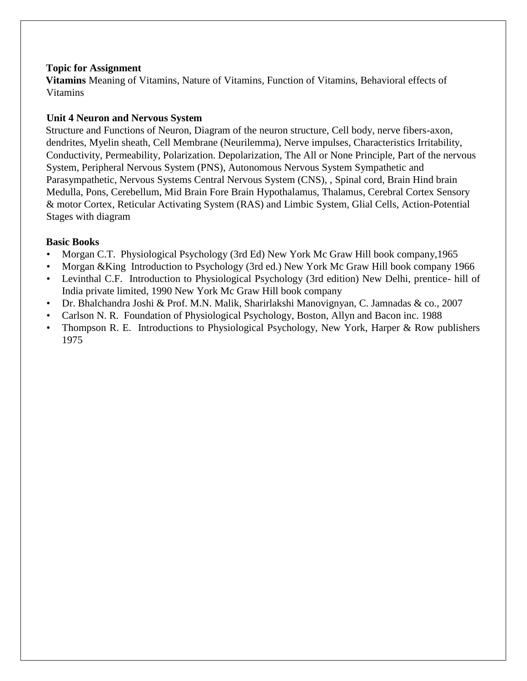### **Topic for Assignment**

**Vitamins** Meaning of Vitamins, Nature of Vitamins, Function of Vitamins, Behavioral effects of Vitamins

## **Unit 4 Neuron and Nervous System**

Structure and Functions of Neuron, Diagram of the neuron structure, Cell body, nerve fibers-axon, dendrites, Myelin sheath, Cell Membrane (Neurilemma), Nerve impulses, Characteristics Irritability, Conductivity, Permeability, Polarization. Depolarization, The All or None Principle, Part of the nervous System, Peripheral Nervous System (PNS), Autonomous Nervous System Sympathetic and Parasympathetic, Nervous Systems Central Nervous System (CNS), , Spinal cord, Brain Hind brain Medulla, Pons, Cerebellum, Mid Brain Fore Brain Hypothalamus, Thalamus, Cerebral Cortex Sensory & motor Cortex, Reticular Activating System (RAS) and Limbic System, Glial Cells, Action-Potential Stages with diagram

## **Basic Books**

- Morgan C.T. Physiological Psychology (3rd Ed) New York Mc Graw Hill book company,1965
- Morgan &King Introduction to Psychology (3rd ed.) New York Mc Graw Hill book company 1966
- Levinthal C.F. Introduction to Physiological Psychology (3rd edition) New Delhi, prentice- hill of India private limited, 1990 New York Mc Graw Hill book company
- Dr. Bhalchandra Joshi & Prof. M.N. Malik, Sharirlakshi Manovignyan, C. Jamnadas & co., 2007
- Carlson N. R. Foundation of Physiological Psychology, Boston, Allyn and Bacon inc. 1988
- Thompson R. E. Introductions to Physiological Psychology, New York, Harper & Row publishers 1975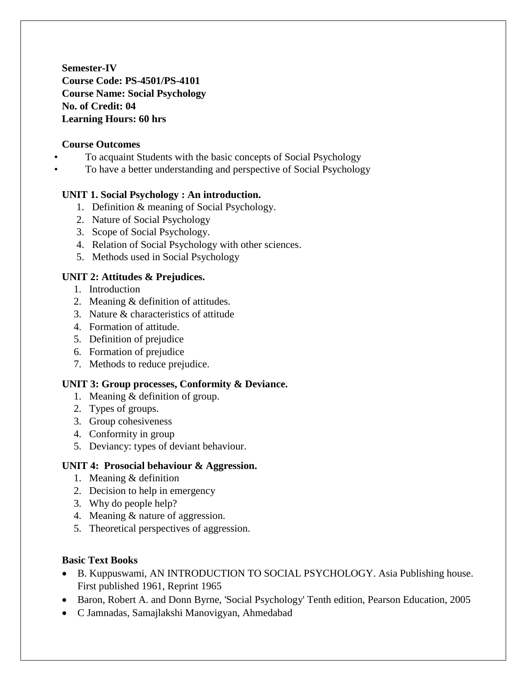**Semester-IV Course Code: PS-4501/PS-4101 Course Name: Social Psychology No. of Credit: 04 Learning Hours: 60 hrs** 

### **Course Outcomes**

- To acquaint Students with the basic concepts of Social Psychology
	- To have a better understanding and perspective of Social Psychology

### **UNIT 1. Social Psychology : An introduction.**

- 1. Definition & meaning of Social Psychology.
- 2. Nature of Social Psychology
- 3. Scope of Social Psychology.
- 4. Relation of Social Psychology with other sciences.
- 5. Methods used in Social Psychology

## **UNIT 2: Attitudes & Prejudices.**

- 1. Introduction
- 2. Meaning & definition of attitudes.
- 3. Nature & characteristics of attitude
- 4. Formation of attitude.
- 5. Definition of prejudice
- 6. Formation of prejudice
- 7. Methods to reduce prejudice.

## **UNIT 3: Group processes, Conformity & Deviance.**

- 1. Meaning & definition of group.
- 2. Types of groups.
- 3. Group cohesiveness
- 4. Conformity in group
- 5. Deviancy: types of deviant behaviour.

#### **UNIT 4: Prosocial behaviour & Aggression.**

- 1. Meaning & definition
- 2. Decision to help in emergency
- 3. Why do people help?
- 4. Meaning & nature of aggression.
- 5. Theoretical perspectives of aggression.

#### **Basic Text Books**

- B. Kuppuswami, AN INTRODUCTION TO SOCIAL PSYCHOLOGY. Asia Publishing house. First published 1961, Reprint 1965
- Baron, Robert A. and Donn Byrne, 'Social Psychology' Tenth edition, Pearson Education, 2005
- C Jamnadas, Samajlakshi Manovigyan, Ahmedabad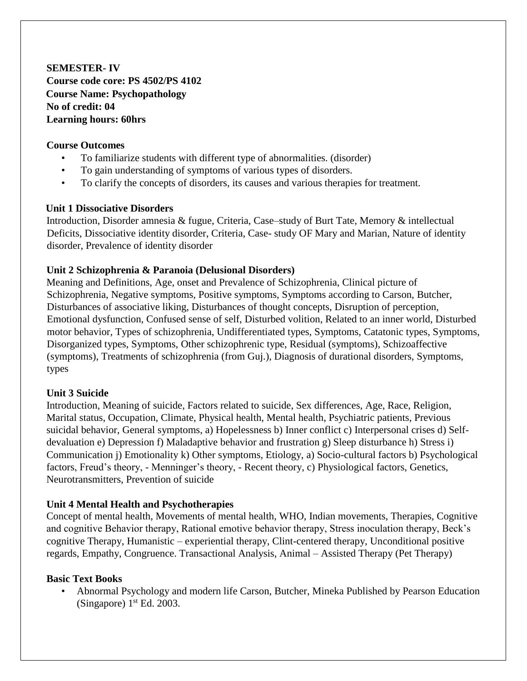**SEMESTER- IV Course code core: PS 4502/PS 4102 Course Name: Psychopathology No of credit: 04 Learning hours: 60hrs** 

### **Course Outcomes**

- To familiarize students with different type of abnormalities. (disorder)
- To gain understanding of symptoms of various types of disorders.
- To clarify the concepts of disorders, its causes and various therapies for treatment.

### **Unit 1 Dissociative Disorders**

Introduction, Disorder amnesia & fugue, Criteria, Case–study of Burt Tate, Memory & intellectual Deficits, Dissociative identity disorder, Criteria, Case- study OF Mary and Marian, Nature of identity disorder, Prevalence of identity disorder

### **Unit 2 Schizophrenia & Paranoia (Delusional Disorders)**

Meaning and Definitions, Age, onset and Prevalence of Schizophrenia, Clinical picture of Schizophrenia, Negative symptoms, Positive symptoms, Symptoms according to Carson, Butcher, Disturbances of associative liking, Disturbances of thought concepts, Disruption of perception, Emotional dysfunction, Confused sense of self, Disturbed volition, Related to an inner world, Disturbed motor behavior, Types of schizophrenia, Undifferentiated types, Symptoms, Catatonic types, Symptoms, Disorganized types, Symptoms, Other schizophrenic type, Residual (symptoms), Schizoaffective (symptoms), Treatments of schizophrenia (from Guj.), Diagnosis of durational disorders, Symptoms, types

## **Unit 3 Suicide**

Introduction, Meaning of suicide, Factors related to suicide, Sex differences, Age, Race, Religion, Marital status, Occupation, Climate, Physical health, Mental health, Psychiatric patients, Previous suicidal behavior, General symptoms, a) Hopelessness b) Inner conflict c) Interpersonal crises d) Selfdevaluation e) Depression f) Maladaptive behavior and frustration g) Sleep disturbance h) Stress i) Communication j) Emotionality k) Other symptoms, Etiology, a) Socio-cultural factors b) Psychological factors, Freud's theory, - Menninger's theory, - Recent theory, c) Physiological factors, Genetics, Neurotransmitters, Prevention of suicide

## **Unit 4 Mental Health and Psychotherapies**

Concept of mental health, Movements of mental health, WHO, Indian movements, Therapies, Cognitive and cognitive Behavior therapy, Rational emotive behavior therapy, Stress inoculation therapy, Beck's cognitive Therapy, Humanistic – experiential therapy, Clint-centered therapy, Unconditional positive regards, Empathy, Congruence. Transactional Analysis, Animal – Assisted Therapy (Pet Therapy)

#### **Basic Text Books**

• Abnormal Psychology and modern life Carson, Butcher, Mineka Published by Pearson Education (Singapore)  $1<sup>st</sup>$  Ed. 2003.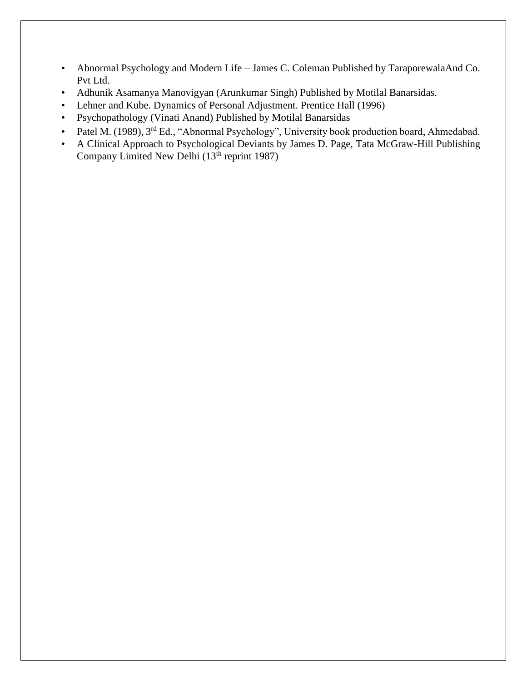- Abnormal Psychology and Modern Life James C. Coleman Published by TaraporewalaAnd Co. Pvt Ltd.
- Adhunik Asamanya Manovigyan (Arunkumar Singh) Published by Motilal Banarsidas.
- Lehner and Kube. Dynamics of Personal Adjustment. Prentice Hall (1996)
- Psychopathology (Vinati Anand) Published by Motilal Banarsidas
- Patel M. (1989), 3<sup>rd</sup> Ed., "Abnormal Psychology", University book production board, Ahmedabad.
- A Clinical Approach to Psychological Deviants by James D. Page, Tata McGraw-Hill Publishing Company Limited New Delhi (13<sup>th</sup> reprint 1987)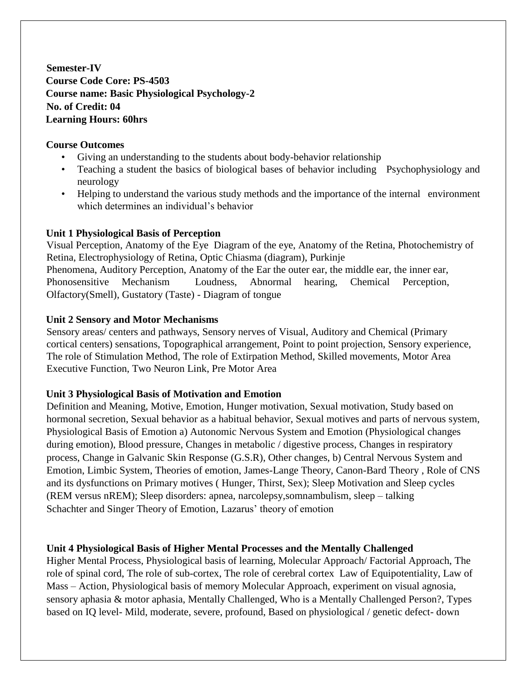**Semester-IV Course Code Core: PS-4503 Course name: Basic Physiological Psychology-2 No. of Credit: 04 Learning Hours: 60hrs**

### **Course Outcomes**

- Giving an understanding to the students about body-behavior relationship
- Teaching a student the basics of biological bases of behavior including Psychophysiology and neurology
- Helping to understand the various study methods and the importance of the internal environment which determines an individual's behavior

## **Unit 1 Physiological Basis of Perception**

Visual Perception, Anatomy of the Eye Diagram of the eye, Anatomy of the Retina, Photochemistry of Retina, Electrophysiology of Retina, Optic Chiasma (diagram), Purkinje Phenomena, Auditory Perception, Anatomy of the Ear the outer ear, the middle ear, the inner ear, Phonosensitive Mechanism Loudness, Abnormal hearing, Chemical Perception, Olfactory(Smell), Gustatory (Taste) - Diagram of tongue

## **Unit 2 Sensory and Motor Mechanisms**

Sensory areas/ centers and pathways, Sensory nerves of Visual, Auditory and Chemical (Primary cortical centers) sensations, Topographical arrangement, Point to point projection, Sensory experience, The role of Stimulation Method, The role of Extirpation Method, Skilled movements, Motor Area Executive Function, Two Neuron Link, Pre Motor Area

## **Unit 3 Physiological Basis of Motivation and Emotion**

Definition and Meaning, Motive, Emotion, Hunger motivation, Sexual motivation, Study based on hormonal secretion, Sexual behavior as a habitual behavior, Sexual motives and parts of nervous system, Physiological Basis of Emotion a) Autonomic Nervous System and Emotion (Physiological changes during emotion), Blood pressure, Changes in metabolic / digestive process, Changes in respiratory process, Change in Galvanic Skin Response (G.S.R), Other changes, b) Central Nervous System and Emotion, Limbic System, Theories of emotion, James-Lange Theory, Canon-Bard Theory , Role of CNS and its dysfunctions on Primary motives ( Hunger, Thirst, Sex); Sleep Motivation and Sleep cycles (REM versus nREM); Sleep disorders: apnea, narcolepsy,somnambulism, sleep – talking Schachter and Singer Theory of Emotion, Lazarus' theory of emotion

## **Unit 4 Physiological Basis of Higher Mental Processes and the Mentally Challenged**

Higher Mental Process, Physiological basis of learning, Molecular Approach/ Factorial Approach, The role of spinal cord, The role of sub-cortex, The role of cerebral cortex Law of Equipotentiality, Law of Mass – Action, Physiological basis of memory Molecular Approach, experiment on visual agnosia, sensory aphasia & motor aphasia, Mentally Challenged, Who is a Mentally Challenged Person?, Types based on IQ level- Mild, moderate, severe, profound, Based on physiological / genetic defect- down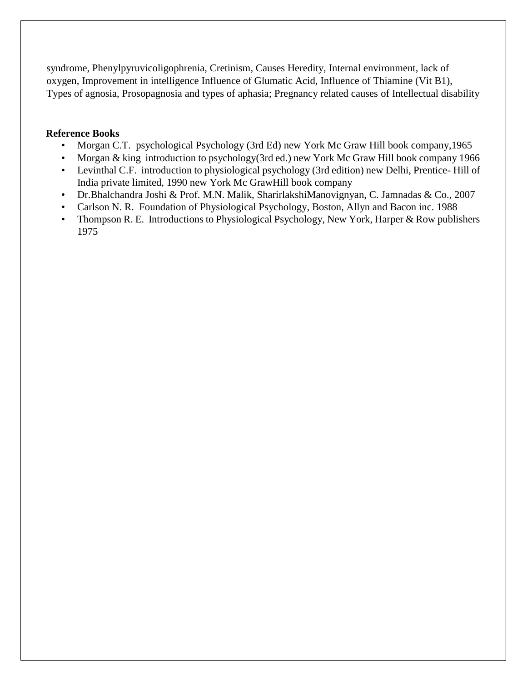syndrome, Phenylpyruvicoligophrenia, Cretinism, Causes Heredity, Internal environment, lack of oxygen, Improvement in intelligence Influence of Glumatic Acid, Influence of Thiamine (Vit B1), Types of agnosia, Prosopagnosia and types of aphasia; Pregnancy related causes of Intellectual disability

### **Reference Books**

- Morgan C.T. psychological Psychology (3rd Ed) new York Mc Graw Hill book company,1965
- Morgan & king introduction to psychology(3rd ed.) new York Mc Graw Hill book company 1966
- Levinthal C.F. introduction to physiological psychology (3rd edition) new Delhi, Prentice- Hill of India private limited, 1990 new York Mc GrawHill book company
- Dr.Bhalchandra Joshi & Prof. M.N. Malik, SharirlakshiManovignyan, C. Jamnadas & Co., 2007
- Carlson N. R. Foundation of Physiological Psychology, Boston, Allyn and Bacon inc. 1988
- Thompson R. E. Introductions to Physiological Psychology, New York, Harper & Row publishers 1975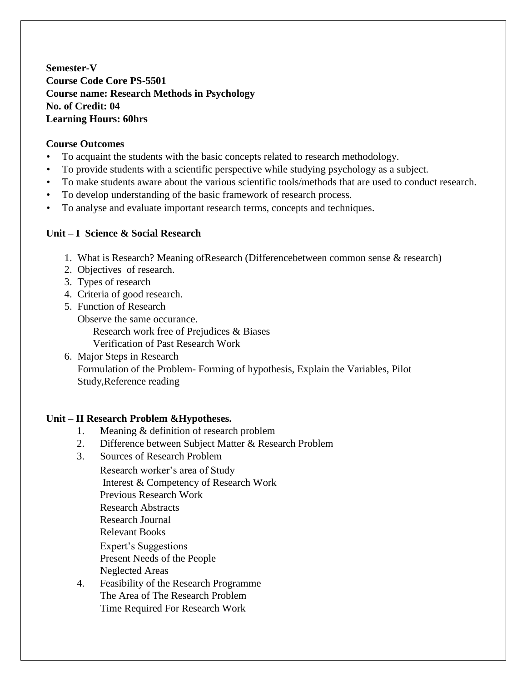**Semester-V Course Code Core PS-5501 Course name: Research Methods in Psychology No. of Credit: 04 Learning Hours: 60hrs**

### **Course Outcomes**

- To acquaint the students with the basic concepts related to research methodology.
- To provide students with a scientific perspective while studying psychology as a subject.
- To make students aware about the various scientific tools/methods that are used to conduct research.
- To develop understanding of the basic framework of research process.
- To analyse and evaluate important research terms, concepts and techniques.

### **Unit – I Science & Social Research**

- 1. What is Research? Meaning ofResearch (Differencebetween common sense & research)
- 2. Objectives of research.
- 3. Types of research
- 4. Criteria of good research.
- 5. Function of Research Observe the same occurance. Research work free of Prejudices & Biases Verification of Past Research Work
- 6. Major Steps in Research Formulation of the Problem- Forming of hypothesis, Explain the Variables, Pilot Study,Reference reading

## **Unit – II Research Problem &Hypotheses.**

- 1. Meaning & definition of research problem
- 2. Difference between Subject Matter & Research Problem
- 3. Sources of Research Problem
	- Research worker's area of Study Interest & Competency of Research Work Previous Research Work Research Abstracts Research Journal Relevant Books Expert's Suggestions Present Needs of the People Neglected Areas
- 4. Feasibility of the Research Programme The Area of The Research Problem Time Required For Research Work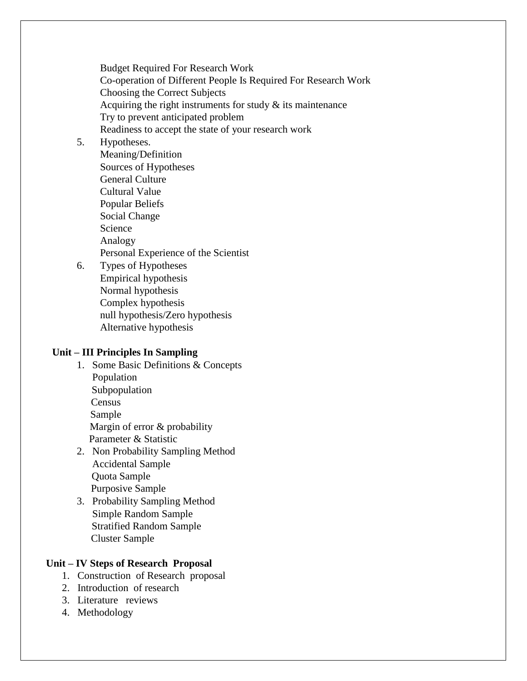Budget Required For Research Work Co-operation of Different People Is Required For Research Work Choosing the Correct Subjects Acquiring the right instruments for study  $\&$  its maintenance Try to prevent anticipated problem Readiness to accept the state of your research work

## 5. Hypotheses.

Meaning/Definition Sources of Hypotheses General Culture Cultural Value Popular Beliefs Social Change Science Analogy Personal Experience of the Scientist

6. Types of Hypotheses Empirical hypothesis Normal hypothesis Complex hypothesis null hypothesis/Zero hypothesis Alternative hypothesis

## **Unit – III Principles In Sampling**

- 1. Some Basic Definitions & Concepts Population Subpopulation Census Sample Margin of error & probability Parameter & Statistic
- 2. Non Probability Sampling Method Accidental Sample Quota Sample Purposive Sample
- 3. Probability Sampling Method Simple Random Sample Stratified Random Sample Cluster Sample

#### **Unit – IV Steps of Research Proposal**

- 1. Construction of Research proposal
- 2. Introduction of research
- 3. Literature reviews
- 4. Methodology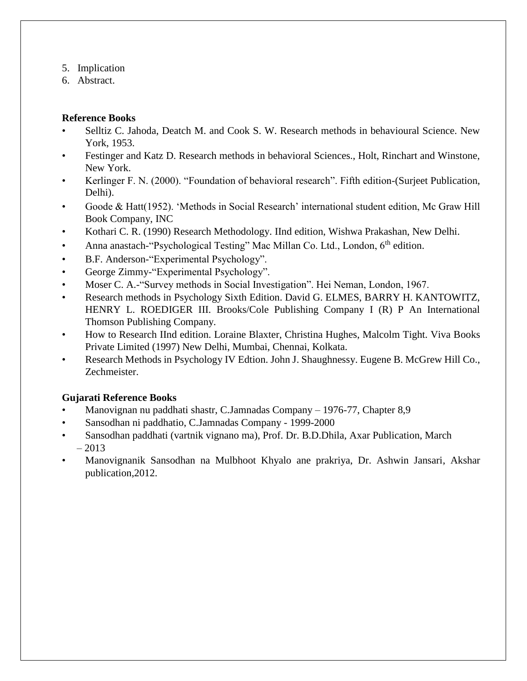- 5. Implication
- 6. Abstract.

## **Reference Books**

- Selltiz C. Jahoda, Deatch M. and Cook S. W. Research methods in behavioural Science. New York, 1953.
- Festinger and Katz D. Research methods in behavioral Sciences., Holt, Rinchart and Winstone, New York.
- Kerlinger F. N. (2000). "Foundation of behavioral research". Fifth edition-(Surjeet Publication, Delhi).
- Goode & Hatt(1952). 'Methods in Social Research' international student edition, Mc Graw Hill Book Company, INC
- Kothari C. R. (1990) Research Methodology. IInd edition, Wishwa Prakashan, New Delhi.
- Anna anastach-"Psychological Testing" Mac Millan Co. Ltd., London, 6<sup>th</sup> edition.
- B.F. Anderson-"Experimental Psychology".
- George Zimmy-"Experimental Psychology".
- Moser C. A.-"Survey methods in Social Investigation". Hei Neman, London, 1967.
- Research methods in Psychology Sixth Edition. David G. ELMES, BARRY H. KANTOWITZ, HENRY L. ROEDIGER III. Brooks/Cole Publishing Company I (R) P An International Thomson Publishing Company.
- How to Research IInd edition. Loraine Blaxter, Christina Hughes, Malcolm Tight. Viva Books Private Limited (1997) New Delhi, Mumbai, Chennai, Kolkata.
- Research Methods in Psychology IV Edtion. John J. Shaughnessy. Eugene B. McGrew Hill Co., Zechmeister.

# **Gujarati Reference Books**

- Manovignan nu paddhati shastr, C.Jamnadas Company 1976-77, Chapter 8,9
- Sansodhan ni paddhatio, C.Jamnadas Company 1999-2000
- Sansodhan paddhati (vartnik vignano ma), Prof. Dr. B.D.Dhila, Axar Publication, March  $-2013$
- Manovignanik Sansodhan na Mulbhoot Khyalo ane prakriya, Dr. Ashwin Jansari, Akshar publication,2012.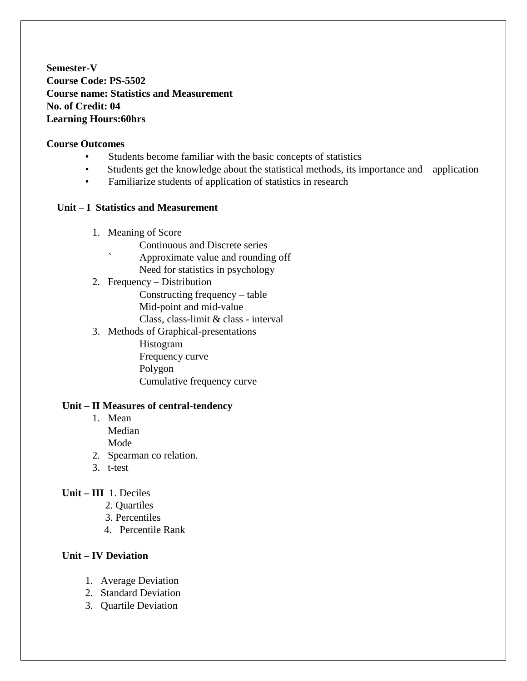**Semester-V Course Code: PS-5502 Course name: Statistics and Measurement No. of Credit: 04 Learning Hours:60hrs**

#### **Course Outcomes**

- Students become familiar with the basic concepts of statistics
- Students get the knowledge about the statistical methods, its importance and application
- Familiarize students of application of statistics in research

#### **Unit – I Statistics and Measurement**

- 1. Meaning of Score
	- Continuous and Discrete series
	- ` Approximate value and rounding off
	- Need for statistics in psychology
- 2. Frequency Distribution

Constructing frequency – table Mid-point and mid-value Class, class-limit & class - interval

3. Methods of Graphical-presentations

Histogram Frequency curve Polygon Cumulative frequency curve

#### **Unit – II Measures of central-tendency**

- 1. Mean Median Mode
- 2. Spearman co relation.
- 3. t-test

#### **Unit – III** 1. Deciles

- 2. Quartiles
- 3. Percentiles
- 4. Percentile Rank

#### **Unit – IV Deviation**

- 1. Average Deviation
- 2. Standard Deviation
- 3. Quartile Deviation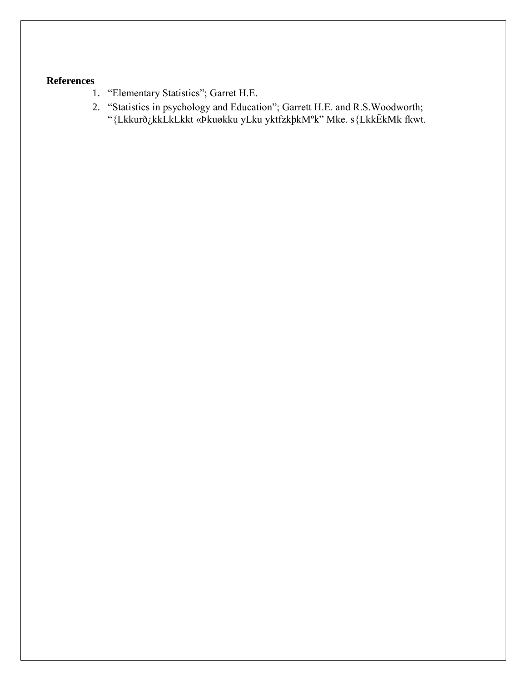- 1. "Elementary Statistics"; Garret H.E.
- 2. "Statistics in psychology and Education"; Garrett H.E. and R.S.Woodworth; "{Lkkurð¿kkLkLkkt «Þkuøkku yLku yktfzkþkMºk" Mke. s{LkkËkMk fkwt.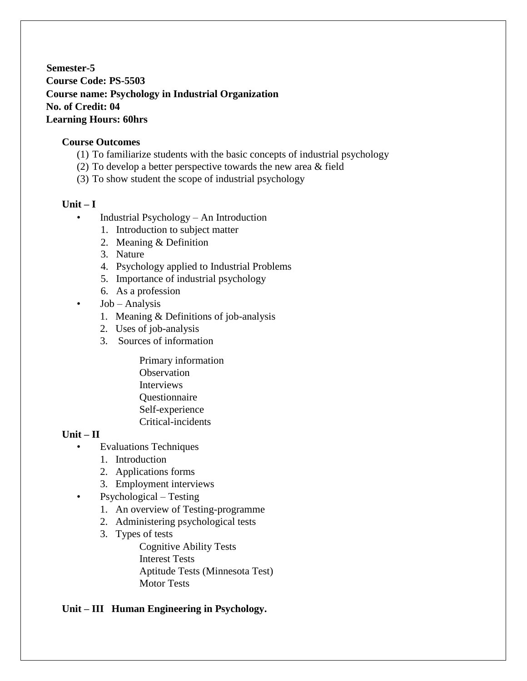**Semester-5 Course Code: PS-5503 Course name: Psychology in Industrial Organization No. of Credit: 04 Learning Hours: 60hrs**

### **Course Outcomes**

- (1) To familiarize students with the basic concepts of industrial psychology
- (2) To develop a better perspective towards the new area & field
- (3) To show student the scope of industrial psychology

### $Unit - I$

- Industrial Psychology An Introduction
	- 1. Introduction to subject matter
	- 2. Meaning & Definition
	- 3. Nature
	- 4. Psychology applied to Industrial Problems
	- 5. Importance of industrial psychology
	- 6. As a profession
- $\bullet$  Job Analysis
	- 1. Meaning & Definitions of job-analysis
	- 2. Uses of job-analysis
	- 3. Sources of information
		- Primary information **Observation Interviews** Questionnaire Self-experience Critical-incidents

## **Unit – II**

- Evaluations Techniques
	- 1. Introduction
	- 2. Applications forms
	- 3. Employment interviews
- Psychological Testing
	- 1. An overview of Testing-programme
	- 2. Administering psychological tests
	- 3. Types of tests

Cognitive Ability Tests Interest Tests Aptitude Tests (Minnesota Test) Motor Tests

## **Unit – III Human Engineering in Psychology.**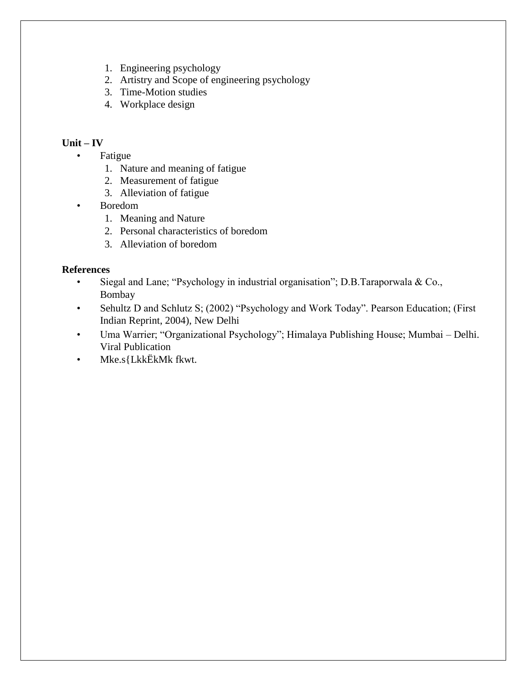- 1. Engineering psychology
- 2. Artistry and Scope of engineering psychology
- 3. Time-Motion studies
- 4. Workplace design

### **Unit – IV**

- Fatigue
	- 1. Nature and meaning of fatigue
	- 2. Measurement of fatigue
	- 3. Alleviation of fatigue
- Boredom
	- 1. Meaning and Nature
	- 2. Personal characteristics of boredom
	- 3. Alleviation of boredom

- Siegal and Lane; "Psychology in industrial organisation"; D.B.Taraporwala & Co., Bombay
- Sehultz D and Schlutz S; (2002) "Psychology and Work Today". Pearson Education; (First Indian Reprint, 2004), New Delhi
- Uma Warrier; "Organizational Psychology"; Himalaya Publishing House; Mumbai Delhi. Viral Publication
- Mke.s{LkkËkMk fkwt.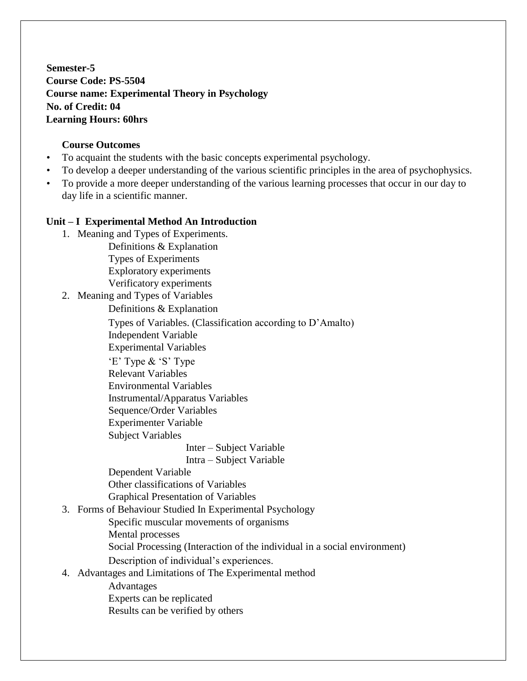**Semester-5 Course Code: PS-5504 Course name: Experimental Theory in Psychology No. of Credit: 04 Learning Hours: 60hrs**

## **Course Outcomes**

- To acquaint the students with the basic concepts experimental psychology.
- To develop a deeper understanding of the various scientific principles in the area of psychophysics.
- To provide a more deeper understanding of the various learning processes that occur in our day to day life in a scientific manner.

## **Unit – I Experimental Method An Introduction**

1. Meaning and Types of Experiments. Definitions & Explanation

> Types of Experiments Exploratory experiments Verificatory experiments

2. Meaning and Types of Variables

Definitions & Explanation

Types of Variables. (Classification according to D'Amalto) Independent Variable

Experimental Variables

'E' Type & 'S' Type

Relevant Variables

Environmental Variables

Instrumental/Apparatus Variables

Sequence/Order Variables

Experimenter Variable

Subject Variables

Inter – Subject Variable

Intra – Subject Variable

Dependent Variable Other classifications of Variables Graphical Presentation of Variables

# 3. Forms of Behaviour Studied In Experimental Psychology

Specific muscular movements of organisms

Mental processes

Social Processing (Interaction of the individual in a social environment)

Description of individual's experiences.

# 4. Advantages and Limitations of The Experimental method

Advantages Experts can be replicated Results can be verified by others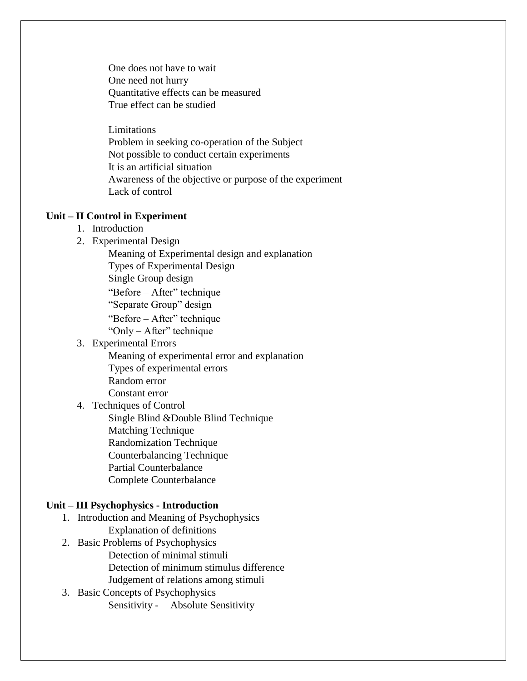One does not have to wait One need not hurry Quantitative effects can be measured True effect can be studied

Limitations Problem in seeking co-operation of the Subject Not possible to conduct certain experiments It is an artificial situation Awareness of the objective or purpose of the experiment Lack of control

#### **Unit – II Control in Experiment**

- 1. Introduction
- 2. Experimental Design
	- Meaning of Experimental design and explanation
	- Types of Experimental Design
	- Single Group design
	- "Before After" technique
	- "Separate Group" design
	- "Before After" technique
	- "Only After" technique
- 3. Experimental Errors
	- Meaning of experimental error and explanation Types of experimental errors Random error
	- Constant error

### 4. Techniques of Control

Single Blind &Double Blind Technique

- Matching Technique
- Randomization Technique
- Counterbalancing Technique
- Partial Counterbalance
- Complete Counterbalance

#### **Unit – III Psychophysics - Introduction**

- 1. Introduction and Meaning of Psychophysics Explanation of definitions
- 2. Basic Problems of Psychophysics Detection of minimal stimuli Detection of minimum stimulus difference Judgement of relations among stimuli
- 3. Basic Concepts of Psychophysics Sensitivity - Absolute Sensitivity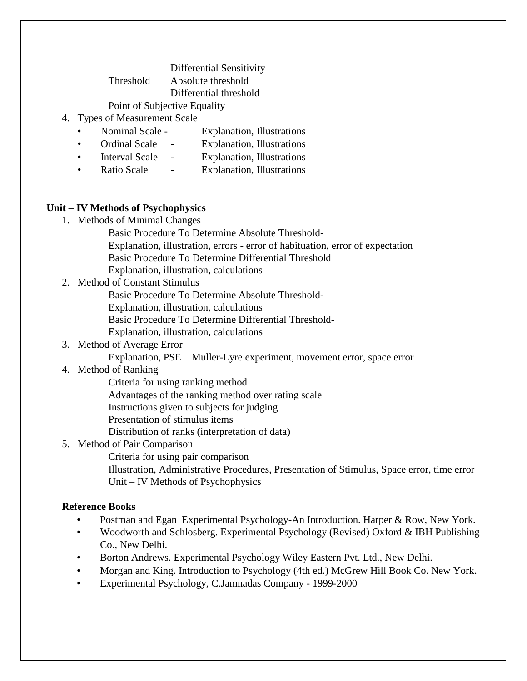Differential Sensitivity Threshold Absolute threshold

Differential threshold

### Point of Subjective Equality

- 4. Types of Measurement Scale
	- Nominal Scale Explanation, Illustrations
	- Ordinal Scale Explanation, Illustrations
	- Interval Scale Explanation, Illustrations
	- Ratio Scale Explanation, Illustrations

#### **Unit – IV Methods of Psychophysics**

- 1. Methods of Minimal Changes
	- Basic Procedure To Determine Absolute Threshold-Explanation, illustration, errors - error of habituation, error of expectation Basic Procedure To Determine Differential Threshold
	- Explanation, illustration, calculations
- 2. Method of Constant Stimulus
	- Basic Procedure To Determine Absolute Threshold-
	- Explanation, illustration, calculations
	- Basic Procedure To Determine Differential Threshold-
	- Explanation, illustration, calculations
- 3. Method of Average Error
	- Explanation, PSE Muller-Lyre experiment, movement error, space error

## 4. Method of Ranking

- Criteria for using ranking method
- Advantages of the ranking method over rating scale
- Instructions given to subjects for judging
- Presentation of stimulus items
- Distribution of ranks (interpretation of data)

## 5. Method of Pair Comparison

- Criteria for using pair comparison
- Illustration, Administrative Procedures, Presentation of Stimulus, Space error, time error Unit – IV Methods of Psychophysics

## **Reference Books**

- Postman and Egan Experimental Psychology-An Introduction. Harper & Row, New York.
- Woodworth and Schlosberg. Experimental Psychology (Revised) Oxford & IBH Publishing Co., New Delhi.
- Borton Andrews. Experimental Psychology Wiley Eastern Pvt. Ltd., New Delhi.
- Morgan and King. Introduction to Psychology (4th ed.) McGrew Hill Book Co. New York.
- Experimental Psychology, C.Jamnadas Company 1999-2000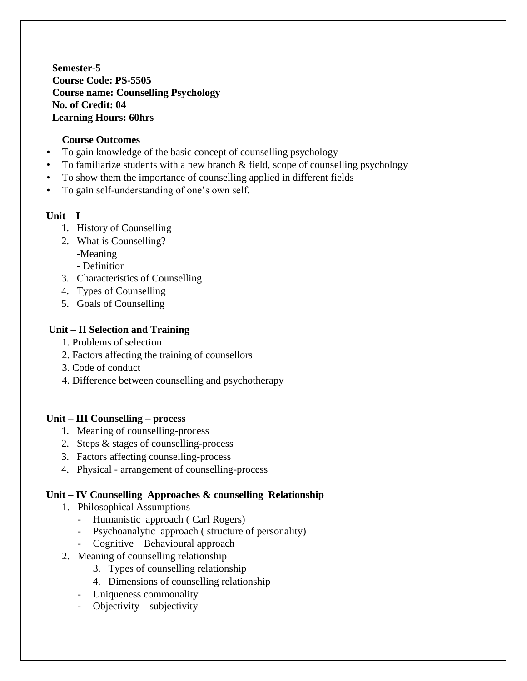**Semester-5 Course Code: PS-5505 Course name: Counselling Psychology No. of Credit: 04 Learning Hours: 60hrs**

### **Course Outcomes**

- To gain knowledge of the basic concept of counselling psychology
- To familiarize students with a new branch  $\&$  field, scope of counselling psychology
- To show them the importance of counselling applied in different fields
- To gain self-understanding of one's own self.

#### **Unit – I**

- 1. History of Counselling
- 2. What is Counselling?
	- -Meaning
	- Definition
- 3. Characteristics of Counselling
- 4. Types of Counselling
- 5. Goals of Counselling

### **Unit – II Selection and Training**

- 1. Problems of selection
- 2. Factors affecting the training of counsellors
- 3. Code of conduct
- 4. Difference between counselling and psychotherapy

## **Unit – III Counselling – process**

- 1. Meaning of counselling-process
- 2. Steps & stages of counselling-process
- 3. Factors affecting counselling-process
- 4. Physical arrangement of counselling-process

#### **Unit – IV Counselling Approaches & counselling Relationship**

- 1. Philosophical Assumptions
	- Humanistic approach ( Carl Rogers)
	- Psychoanalytic approach ( structure of personality)
	- Cognitive Behavioural approach
- 2. Meaning of counselling relationship
	- 3. Types of counselling relationship
	- 4. Dimensions of counselling relationship
	- Uniqueness commonality
	- Objectivity subjectivity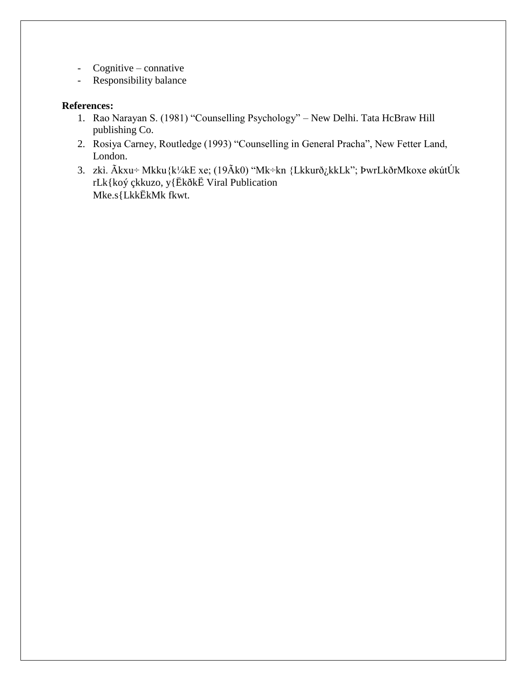- Cognitive connative
- Responsibility balance

## **References:**

- 1. Rao Narayan S. (1981) "Counselling Psychology" New Delhi. Tata HcBraw Hill publishing Co.
- 2. Rosiya Carney, Routledge (1993) "Counselling in General Pracha", New Fetter Land, London.
- 3. zkì. Ãkxu÷ Mkku{k¼kE xe; (19Ãk0) "Mk÷kn {Lkkurð¿kkLk"; ÞwrLkðrMkoxe økútÚk rLk{koý çkkuzo, y{ËkðkË Viral Publication Mke.s{LkkËkMk fkwt.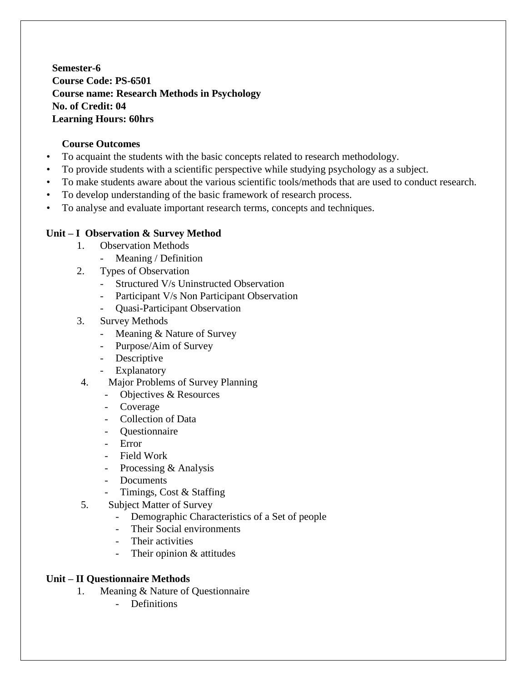**Semester-6 Course Code: PS-6501 Course name: Research Methods in Psychology No. of Credit: 04 Learning Hours: 60hrs**

### **Course Outcomes**

- To acquaint the students with the basic concepts related to research methodology.
- To provide students with a scientific perspective while studying psychology as a subject.
- To make students aware about the various scientific tools/methods that are used to conduct research.
- To develop understanding of the basic framework of research process.
- To analyse and evaluate important research terms, concepts and techniques.

### **Unit – I Observation & Survey Method**

- 1. Observation Methods
	- Meaning / Definition
- 2. Types of Observation
	- Structured V/s Uninstructed Observation
	- Participant V/s Non Participant Observation
	- Quasi-Participant Observation
- 3. Survey Methods
	- Meaning & Nature of Survey
	- Purpose/Aim of Survey
	- Descriptive
	- Explanatory
- 4. Major Problems of Survey Planning
	- Objectives & Resources
	- Coverage
	- Collection of Data
	- Questionnaire
	- Error
	- Field Work
	- Processing & Analysis
	- Documents
	- Timings, Cost & Staffing
- 5. Subject Matter of Survey
	- Demographic Characteristics of a Set of people
	- Their Social environments
	- Their activities
	- Their opinion & attitudes

## **Unit – II Questionnaire Methods**

- 1. Meaning & Nature of Questionnaire
	- Definitions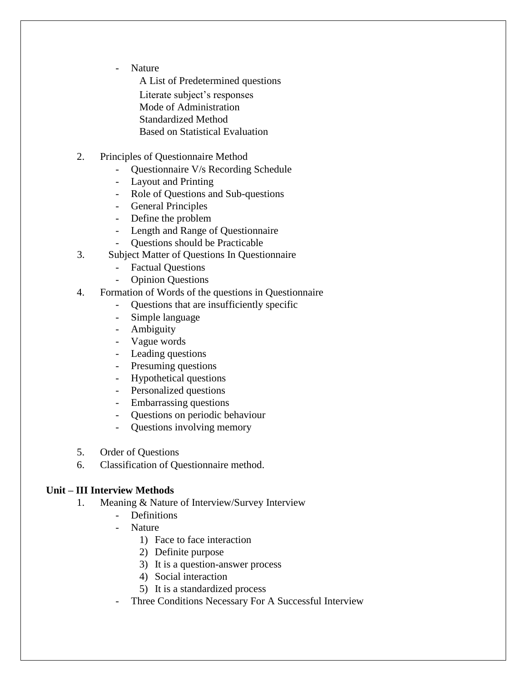- Nature

A List of Predetermined questions Literate subject's responses

Mode of Administration

- Standardized Method
- Based on Statistical Evaluation
- 2. Principles of Questionnaire Method
	- Questionnaire V/s Recording Schedule
	- Layout and Printing
	- Role of Questions and Sub-questions
	- General Principles
	- Define the problem
	- Length and Range of Questionnaire
	- Questions should be Practicable
- 3. Subject Matter of Questions In Questionnaire
	- Factual Questions
	- Opinion Questions
- 4. Formation of Words of the questions in Questionnaire
	- Questions that are insufficiently specific
	- Simple language
	- Ambiguity
	- Vague words
	- Leading questions
	- Presuming questions
	- Hypothetical questions
	- Personalized questions
	- Embarrassing questions
	- Questions on periodic behaviour
	- Questions involving memory
- 5. Order of Questions
- 6. Classification of Questionnaire method.

## **Unit – III Interview Methods**

- 1. Meaning & Nature of Interview/Survey Interview
	- Definitions
	- Nature
		- 1) Face to face interaction
		- 2) Definite purpose
		- 3) It is a question-answer process
		- 4) Social interaction
		- 5) It is a standardized process
	- Three Conditions Necessary For A Successful Interview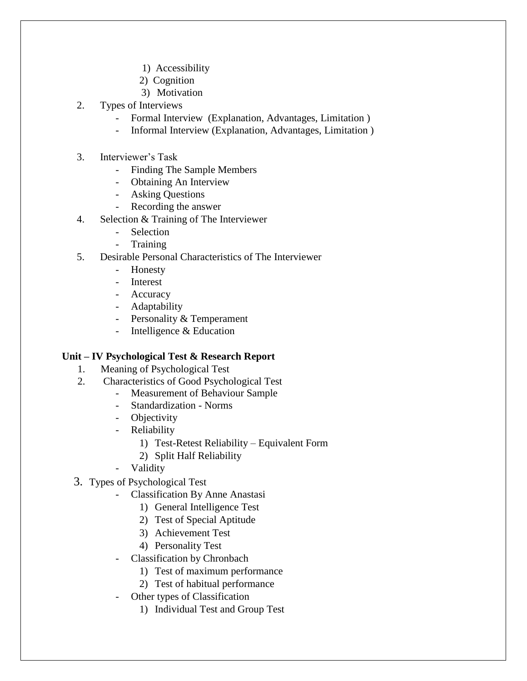- 1) Accessibility
- 2) Cognition
- 3) Motivation
- 2. Types of Interviews
	- Formal Interview (Explanation, Advantages, Limitation)
	- Informal Interview (Explanation, Advantages, Limitation )
- 3. Interviewer's Task
	- Finding The Sample Members
	- Obtaining An Interview
	- Asking Questions
	- Recording the answer
- 4. Selection & Training of The Interviewer
	- Selection
	- **Training**
- 5. Desirable Personal Characteristics of The Interviewer
	- Honesty
	- Interest
	- Accuracy
	- Adaptability
	- Personality & Temperament
	- Intelligence & Education

#### **Unit – IV Psychological Test & Research Report**

- 1. Meaning of Psychological Test
- 2. Characteristics of Good Psychological Test
	- Measurement of Behaviour Sample
		- Standardization Norms
	- Objectivity
	- Reliability
		- 1) Test-Retest Reliability Equivalent Form
		- 2) Split Half Reliability
	- Validity
- 3. Types of Psychological Test
	- Classification By Anne Anastasi
		- 1) General Intelligence Test
			- 2) Test of Special Aptitude
			- 3) Achievement Test
			- 4) Personality Test
	- Classification by Chronbach
		- 1) Test of maximum performance
		- 2) Test of habitual performance
	- Other types of Classification
		- 1) Individual Test and Group Test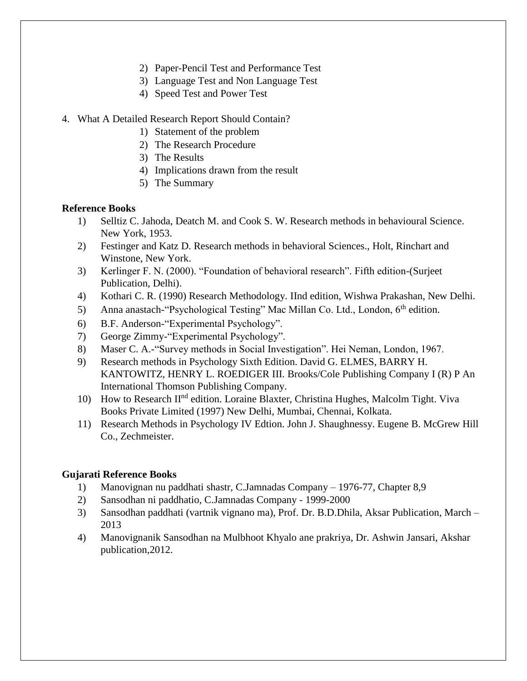- 2) Paper-Pencil Test and Performance Test
- 3) Language Test and Non Language Test
- 4) Speed Test and Power Test
- 4. What A Detailed Research Report Should Contain?
	- 1) Statement of the problem
	- 2) The Research Procedure
	- 3) The Results
	- 4) Implications drawn from the result
	- 5) The Summary

#### **Reference Books**

- 1) Selltiz C. Jahoda, Deatch M. and Cook S. W. Research methods in behavioural Science. New York, 1953.
- 2) Festinger and Katz D. Research methods in behavioral Sciences., Holt, Rinchart and Winstone, New York.
- 3) Kerlinger F. N. (2000). "Foundation of behavioral research". Fifth edition-(Surjeet Publication, Delhi).
- 4) Kothari C. R. (1990) Research Methodology. IInd edition, Wishwa Prakashan, New Delhi.
- 5) Anna anastach-"Psychological Testing" Mac Millan Co. Ltd., London, 6<sup>th</sup> edition.
- 6) B.F. Anderson-"Experimental Psychology".
- 7) George Zimmy-"Experimental Psychology".
- 8) Maser C. A.-"Survey methods in Social Investigation". Hei Neman, London, 1967.
- 9) Research methods in Psychology Sixth Edition. David G. ELMES, BARRY H. KANTOWITZ, HENRY L. ROEDIGER III. Brooks/Cole Publishing Company I (R) P An International Thomson Publishing Company.
- 10) How to Research II<sup>nd</sup> edition. Loraine Blaxter, Christina Hughes, Malcolm Tight. Viva Books Private Limited (1997) New Delhi, Mumbai, Chennai, Kolkata.
- 11) Research Methods in Psychology IV Edtion. John J. Shaughnessy. Eugene B. McGrew Hill Co., Zechmeister.

## **Gujarati Reference Books**

- 1) Manovignan nu paddhati shastr, C.Jamnadas Company 1976-77, Chapter 8,9
- 2) Sansodhan ni paddhatio, C.Jamnadas Company 1999-2000
- 3) Sansodhan paddhati (vartnik vignano ma), Prof. Dr. B.D.Dhila, Aksar Publication, March 2013
- 4) Manovignanik Sansodhan na Mulbhoot Khyalo ane prakriya, Dr. Ashwin Jansari, Akshar publication,2012.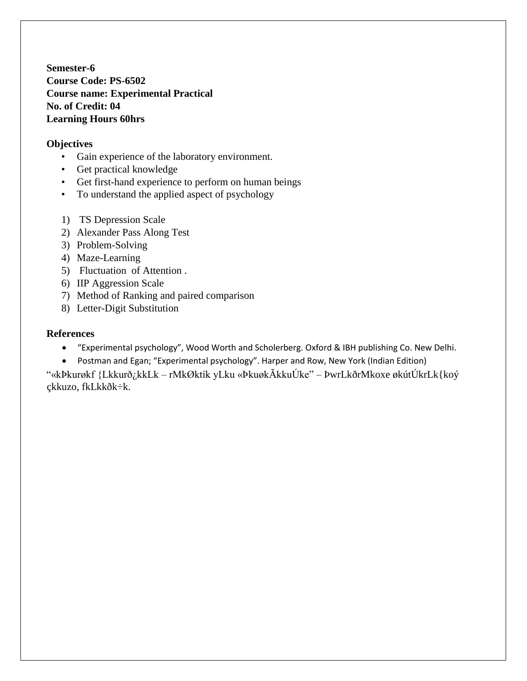**Semester-6 Course Code: PS-6502 Course name: Experimental Practical No. of Credit: 04 Learning Hours 60hrs**

### **Objectives**

- Gain experience of the laboratory environment.
- Get practical knowledge
- Get first-hand experience to perform on human beings
- To understand the applied aspect of psychology
- 1) TS Depression Scale
- 2) Alexander Pass Along Test
- 3) Problem-Solving
- 4) Maze-Learning
- 5) Fluctuation of Attention .
- 6) IIP Aggression Scale
- 7) Method of Ranking and paired comparison
- 8) Letter-Digit Substitution

#### **References**

- "Experimental psychology", Wood Worth and Scholerberg. Oxford & IBH publishing Co. New Delhi.
- Postman and Egan; "Experimental psychology". Harper and Row, New York (Indian Edition)

"«kÞkurøkf {Lkkurð¿kkLk – rMkØktík yLku «ÞkuøkÃkkuÚke" – ÞwrLkðrMkoxe økútÚkrLk{koý çkkuzo, fkLkkðk÷k.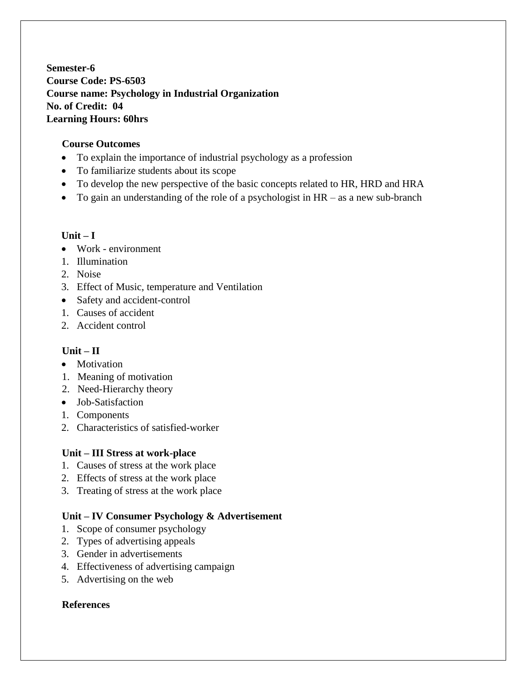**Semester-6 Course Code: PS-6503 Course name: Psychology in Industrial Organization No. of Credit: 04 Learning Hours: 60hrs**

## **Course Outcomes**

- To explain the importance of industrial psychology as a profession
- To familiarize students about its scope
- To develop the new perspective of the basic concepts related to HR, HRD and HRA
- To gain an understanding of the role of a psychologist in HR as a new sub-branch

## **Unit – I**

- Work environment
- 1. Illumination
- 2. Noise
- 3. Effect of Music, temperature and Ventilation
- Safety and accident-control
- 1. Causes of accident
- 2. Accident control

# **Unit – II**

- Motivation
- 1. Meaning of motivation
- 2. Need-Hierarchy theory
- Job-Satisfaction
- 1. Components
- 2. Characteristics of satisfied-worker

# **Unit – III Stress at work-place**

- 1. Causes of stress at the work place
- 2. Effects of stress at the work place
- 3. Treating of stress at the work place

# **Unit – IV Consumer Psychology & Advertisement**

- 1. Scope of consumer psychology
- 2. Types of advertising appeals
- 3. Gender in advertisements
- 4. Effectiveness of advertising campaign
- 5. Advertising on the web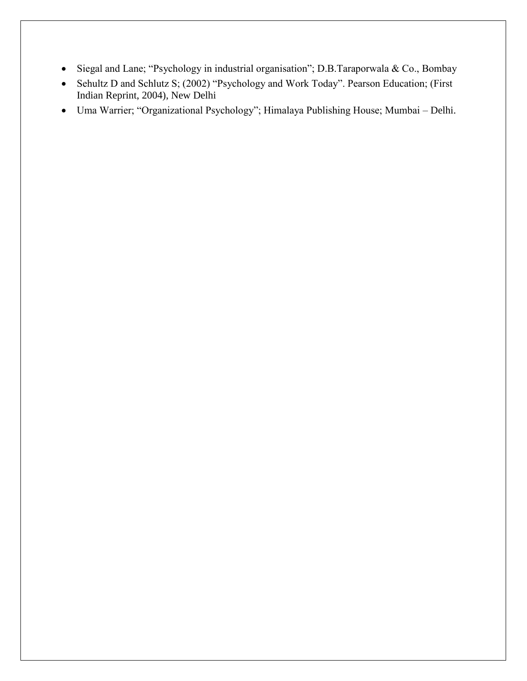- Siegal and Lane; "Psychology in industrial organisation"; D.B.Taraporwala & Co., Bombay
- Sehultz D and Schlutz S; (2002) "Psychology and Work Today". Pearson Education; (First Indian Reprint, 2004), New Delhi
- Uma Warrier; "Organizational Psychology"; Himalaya Publishing House; Mumbai Delhi.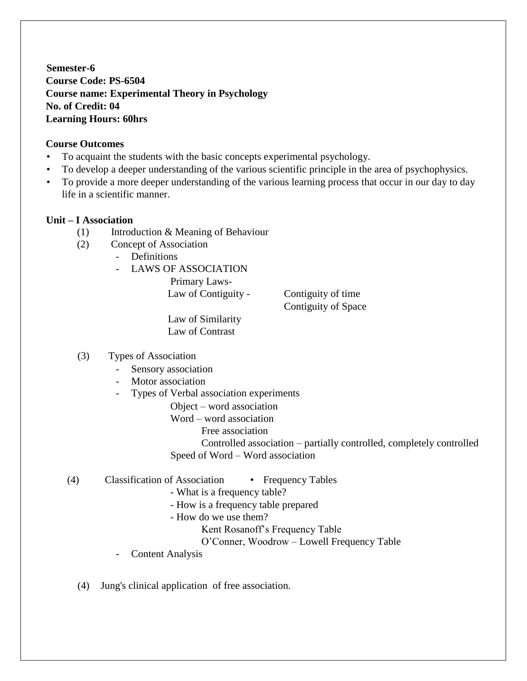**Semester-6 Course Code: PS-6504 Course name: Experimental Theory in Psychology No. of Credit: 04 Learning Hours: 60hrs**

### **Course Outcomes**

- To acquaint the students with the basic concepts experimental psychology.
- To develop a deeper understanding of the various scientific principle in the area of psychophysics.
- To provide a more deeper understanding of the various learning process that occur in our day to day life in a scientific manner.

#### **Unit – I Association**

- (1) Introduction & Meaning of Behaviour
- (2) Concept of Association
	- Definitions
	- LAWS OF ASSOCIATION

Primary Laws-Law of Contiguity - Contiguity of time

Contiguity of Space

 Law of Similarity Law of Contrast

#### (3) Types of Association

- Sensory association
- Motor association
- Types of Verbal association experiments
	- Object word association
	- Word word association
		- Free association

Controlled association – partially controlled, completely controlled Speed of Word – Word association

- (4) Classification of Association Frequency Tables
	- What is a frequency table?
	- How is a frequency table prepared
	- How do we use them?
		- Kent Rosanoff's Frequency Table
		- O'Conner, Woodrow Lowell Frequency Table
	- Content Analysis
	- (4) Jung's clinical application of free association.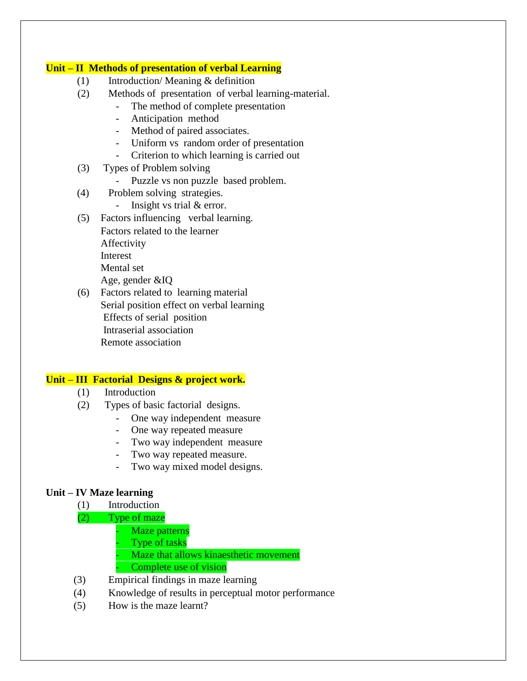#### **Unit – II Methods of presentation of verbal Learning**

- (1) Introduction/ Meaning & definition
- (2) Methods of presentation of verbal learning-material.
	- The method of complete presentation
	- Anticipation method
	- Method of paired associates.
	- Uniform vs random order of presentation
	- Criterion to which learning is carried out
- (3) Types of Problem solving
	- Puzzle vs non puzzle based problem.
- (4) Problem solving strategies.
	- Insight vs trial & error.
- (5) Factors influencing verbal learning. Factors related to the learner Affectivity Interest Mental set Age, gender &IQ
- (6) Factors related to learning material Serial position effect on verbal learning Effects of serial position Intraserial association Remote association

### **Unit – III Factorial Designs & project work.**

- (1) Introduction
- (2) Types of basic factorial designs.
	- One way independent measure
	- One way repeated measure
	- Two way independent measure
	- Two way repeated measure.
	- Two way mixed model designs.

### **Unit – IV Maze learning**

- (1) Introduction
- (2) Type of maze
	- Maze patterns
	- Type of tasks
	- Maze that allows kinaesthetic movement Complete use of vision
- (3) Empirical findings in maze learning
- (4) Knowledge of results in perceptual motor performance
- (5) How is the maze learnt?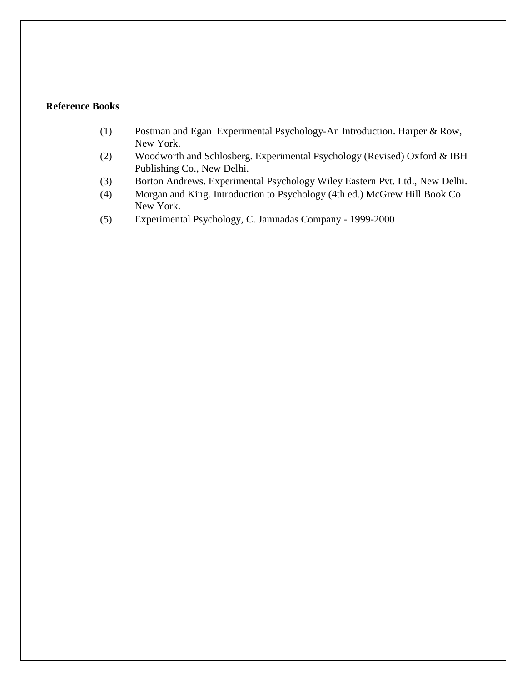## **Reference Books**

- (1) Postman and Egan Experimental Psychology-An Introduction. Harper & Row, New York.
- (2) Woodworth and Schlosberg. Experimental Psychology (Revised) Oxford & IBH Publishing Co., New Delhi.
- (3) Borton Andrews. Experimental Psychology Wiley Eastern Pvt. Ltd., New Delhi.
- (4) Morgan and King. Introduction to Psychology (4th ed.) McGrew Hill Book Co. New York.
- (5) Experimental Psychology, C. Jamnadas Company 1999-2000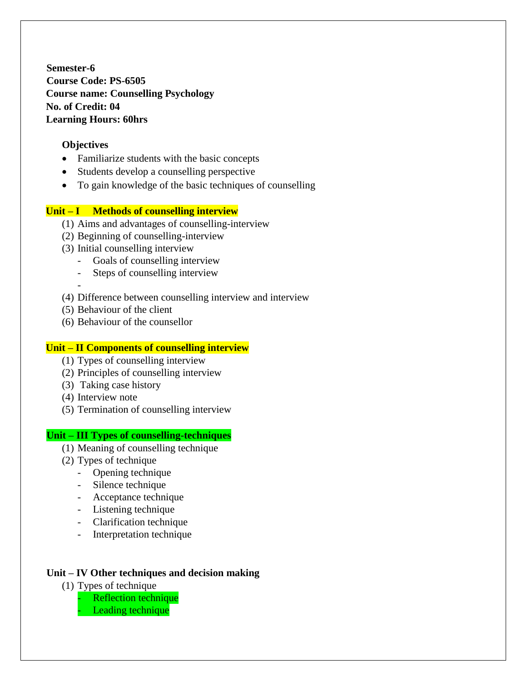**Semester-6 Course Code: PS-6505 Course name: Counselling Psychology No. of Credit: 04 Learning Hours: 60hrs**

### **Objectives**

- Familiarize students with the basic concepts
- Students develop a counselling perspective
- To gain knowledge of the basic techniques of counselling

#### **Unit – I Methods of counselling interview**

- (1) Aims and advantages of counselling-interview
- (2) Beginning of counselling-interview
- (3) Initial counselling interview
	- Goals of counselling interview
	- Steps of counselling interview
	- -
- (4) Difference between counselling interview and interview
- (5) Behaviour of the client
- (6) Behaviour of the counsellor

#### **Unit – II Components of counselling interview**

- (1) Types of counselling interview
- (2) Principles of counselling interview
- (3) Taking case history
- (4) Interview note
- (5) Termination of counselling interview

#### **Unit – III Types of counselling-techniques**

- (1) Meaning of counselling technique
- (2) Types of technique
	- Opening technique
	- Silence technique
	- Acceptance technique
	- Listening technique
	- Clarification technique
	- Interpretation technique

## **Unit – IV Other techniques and decision making**

- (1) Types of technique
	- Reflection technique
	- Leading technique